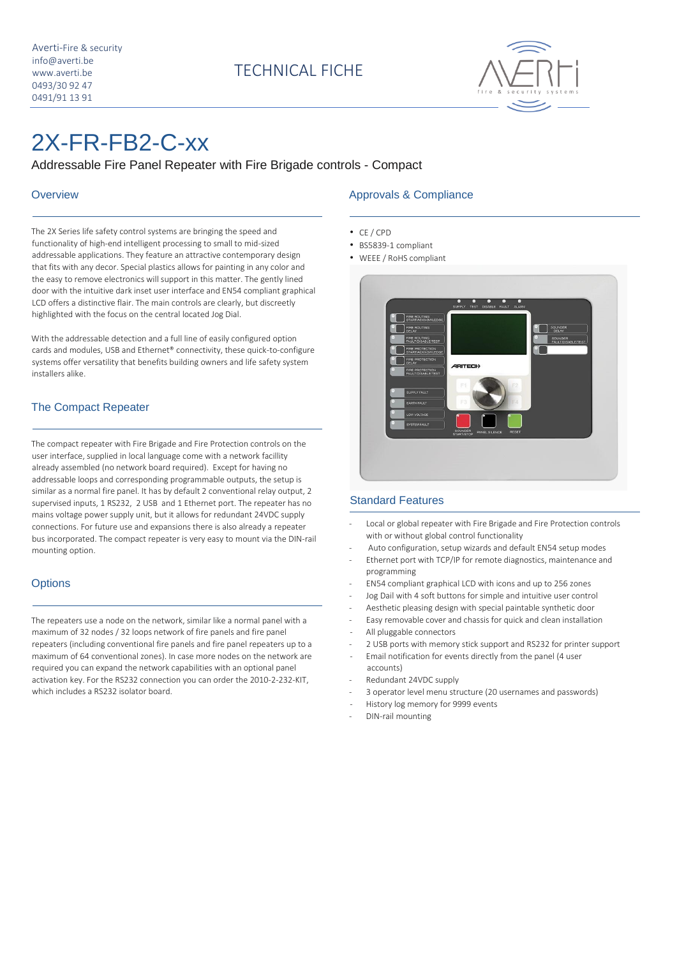

# 2X-FR-FB2-C-xx

Addressable Fire Panel Repeater with Fire Brigade controls - Compact

#### **Overview**

The 2X Series life safety control systems are bringing the speed and functionality of high-end intelligent processing to small to mid-sized addressable applications. They feature an attractive contemporary design that fits with any decor. Special plastics allows for painting in any color and the easy to remove electronics will support in this matter. The gently lined door with the intuitive dark inset user interface and EN54 compliant graphical LCD offers a distinctive flair. The main controls are clearly, but discreetly highlighted with the focus on the central located Jog Dial.

With the addressable detection and a full line of easily configured option cards and modules, USB and Ethernet® connectivity, these quick-to-configure systems offer versatility that benefits building owners and life safety system installers alike.

### The Compact Repeater

The compact repeater with Fire Brigade and Fire Protection controls on the user interface, supplied in local language come with a network facillity already assembled (no network board required). Except for having no addressable loops and corresponding programmable outputs, the setup is similar as a normal fire panel. It has by default 2 conventional relay output, 2 supervised inputs, 1 RS232, 2 USB and 1 Ethernet port. The repeater has no mains voltage power supply unit, but it allows for redundant 24VDC supply connections. For future use and expansions there is also already a repeater bus incorporated. The compact repeater is very easy to mount via the DIN-rail mounting option.

#### **Options**

The repeaters use a node on the network, similar like a normal panel with a maximum of 32 nodes / 32 loops network of fire panels and fire panel repeaters (including conventional fire panels and fire panel repeaters up to a maximum of 64 conventional zones). In case more nodes on the network are required you can expand the network capabilities with an optional panel activation key. For the RS232 connection you can order the 2010-2-232-KIT, which includes a RS232 isolator board.

#### Approvals & Compliance

- CE / CPD
- BS5839-1 compliant
- WEEE / RoHS compliant



#### Standard Features

- Local or global repeater with Fire Brigade and Fire Protection controls with or without global control functionality
- Auto configuration, setup wizards and default EN54 setup modes
- Ethernet port with TCP/IP for remote diagnostics, maintenance and programming
- EN54 compliant graphical LCD with icons and up to 256 zones
- Jog Dail with 4 soft buttons for simple and intuitive user control
- Aesthetic pleasing design with special paintable synthetic door
- Easy removable cover and chassis for quick and clean installation
- All pluggable connectors
- 2 USB ports with memory stick support and RS232 for printer support
- Email notification for events directly from the panel (4 user accounts)
- Redundant 24VDC supply
- 3 operator level menu structure (20 usernames and passwords)
- History log memory for 9999 events
- DIN-rail mounting